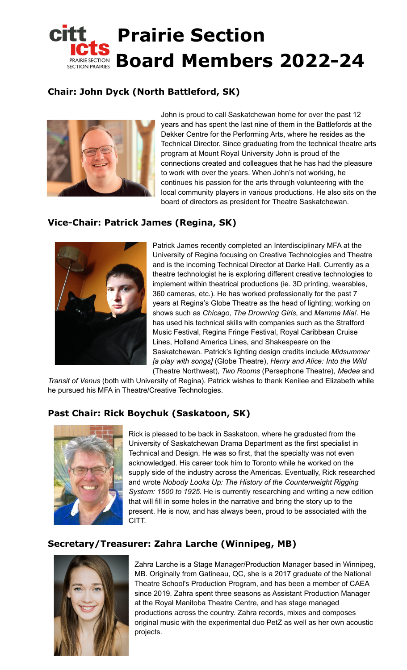

## **Chair: John Dyck (North Battleford, SK)**



John is proud to call Saskatchewan home for over the past 12 years and has spent the last nine of them in the Battlefords at the Dekker Centre for the Performing Arts, where he resides as the Technical Director. Since graduating from the technical theatre arts program at Mount Royal University John is proud of the connections created and colleagues that he has had the pleasure to work with over the years. When John's not working, he continues his passion for the arts through volunteering with the local community players in various productions. He also sits on the board of directors as president for Theatre Saskatchewan.

## **Vice-Chair: Patrick James (Regina, SK)**



Patrick James recently completed an Interdisciplinary MFA at the University of Regina focusing on Creative Technologies and Theatre and is the incoming Technical Director at Darke Hall. Currently as a theatre technologist he is exploring different creative technologies to implement within theatrical productions (ie. 3D printing, wearables, 360 cameras, etc.). He has worked professionally for the past 7 years at Regina's Globe Theatre as the head of lighting; working on shows such as *Chicago*, *The Drowning Girls*, and *Mamma Mia!.* He has used his technical skills with companies such as the Stratford Music Festival, Regina Fringe Festival, Royal Caribbean Cruise Lines, Holland America Lines, and Shakespeare on the Saskatchewan. Patrick's lighting design credits include *Midsummer [a play with songs]* (Globe Theatre), *Henry and Alice: Into the Wild* (Theatre Northwest), *Two Rooms* (Persephone Theatre), *Medea* and

*Transit of Venus* (both with University of Regina). Patrick wishes to thank Kenilee and Elizabeth while he pursued his MFA in Theatre/Creative Technologies.

### **Past Chair: Rick Boychuk (Saskatoon, SK)**



Rick is pleased to be back in Saskatoon, where he graduated from the University of Saskatchewan Drama Department as the first specialist in Technical and Design. He was so first, that the specialty was not even acknowledged. His career took him to Toronto while he worked on the supply side of the industry across the Americas. Eventually, Rick researched and wrote *Nobody Looks Up: The History of the Counterweight Rigging System: 1500 to 1925.* He is currently researching and writing a new edition that will fill in some holes in the narrative and bring the story up to the present. He is now, and has always been, proud to be associated with the CITT.

#### **Secretary/Treasurer: Zahra Larche (Winnipeg, MB)**



Zahra Larche is a Stage Manager/Production Manager based in Winnipeg, MB. Originally from Gatineau, QC, she is a 2017 graduate of the National Theatre School's Production Program, and has been a member of CAEA since 2019. Zahra spent three seasons as Assistant Production Manager at the Royal Manitoba Theatre Centre, and has stage managed productions across the country. Zahra records, mixes and composes original music with the experimental duo PetZ as well as her own acoustic projects.